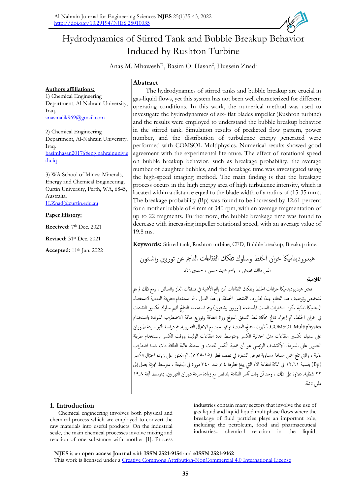

# Hydrodynamics of Stirred Tank and Bubble Breakup Behavior Induced by Rushton Turbine

Anas M. Mhawesh<sup>\*1</sup>, Basim O. Hasan<sup>2</sup>, Hussein Znad<sup>3</sup>

## **Authors affiliations:**

1) Chemical Engineering Department, Al-Nahrain University, Iraq. [anasmalik969@gmail.com](mailto:anasmalik969@gmail.com)

2) Chemical Engineering Department, Al-Nahrain University, Iraq. [basimhasan2017@eng.nahrainuniv.e](mailto:basimhasan2017@eng.nahrainuniv.edu.iq) [du.iq](mailto:basimhasan2017@eng.nahrainuniv.edu.iq)

3) WA School of Mines: Minerals, Energy and Chemical Engineering, Curtin University, Perth, WA, 6845, Australia.

[H.Znad@curtin.edu.au](mailto:H.Znad@curtin.edu.au)

### **Paper History:**

**Received:** 7<sup>th</sup> Dec. 2021

**Revised:** 31st Dec. 2021

**Accepted:** 11<sup>th</sup> Jan. 2022

## **Abstract**

The hydrodynamics of stirred tanks and bubble breakup are crucial in gas-liquid flows, yet this system has not been well characterized for different operating conditions. In this work, the numerical method was used to investigate the hydrodynamics of six- flat blades impeller (Rushton turbine) and the results were employed to understand the bubble breakup behavior in the stirred tank. Simulation results of predicted flow pattern, power number, and the distribution of turbulence energy generated were performed with COMSOL Multiphysics. Numerical results showed good agreement with the experimental literature. The effect of rotational speed on bubble breakup behavior, such as breakage probability, the average number of daughter bubbles, and the breakage time was investigated using the high-speed imaging method. The main finding is that the breakage process occurs in the high energy area of high turbulence intensity, which is located within a distance equal to the blade width of a radius of (15-35 mm). The breakage probability (Bp) was found to be increased by 12.61 percent for a mother bubble of 4 mm at 340 rpm, with an average fragmentation of up to 22 fragments. Furthermore, the bubble breakage time was found to decrease with increasing impeller rotational speed, with an average value of 19.8 ms.

**Keywords:** Stirred tank, Rushton turbine, CFD, Bubble breakup, Breakup time.

هيدروديناميكا خزان الخلط وسلوك تفكك الفقاعات الناجم عن توربين راشـتون انس ماكل هماوش ، ابمس عبيد حسن ، حسني زاند اخلالصة:

نعتبر هيدروديناميكا خزانات الحلط وتفكك الفقاعات أمرًا بالغ الأهمية في تدفقات الغاز والسائل ، ومع ذلك لم يتم ً تشخيص وتوصيف هذا النظام جيدًا لظروف التشغيل المختلفة. في هذا العمل ، تم استخدام الطريقة العددية لاستقصاء الديناميكا المائية لمكره الشفرات الست المسطحة (توربين رشـتون) وتم اسـتخدام النتائج لفهم سلوك تكسير الفقاعات في خزان الخلط. تم إجراء نتائج محاكاة نمط التدفق المتوقع ورقم الطاقة وتوزيع طاقة الاضطراب المتولدة باستخدام COMSOL Multiphysics. أظهرت النتائج العددية توافق جيد مع الاعمال التجريبية. تم دراسة تأثير سرعة الدوران على سلوك تكسير الفقاعات مثل احتالية الكسر ومتوسط عدد الفقاعات الوليدة ووقت الكسر باستخدام طريقة التصوير عالي السرعة. الاكتشاف الرئيسي هو أن عملية الكسر تحدث في منطقة عالية الطاقة ذات شدة اضطراب عالية ، والتي تقع ضمن مسافة مساوية لعرض الشفرة في نصف قطر (٦٥-٣٥ مم). تم العثور على زيادة احتال الكسر (Bp) بنسبة ١٢,٦١ في المائة للفقاعة الأم التي يبلغ قطرها ٤ م عند ٣٤٠ دورة في الدقيقة ، بمتوسط تجزئة يصل إلى ٢٢ شظية. علاوة على ذلك ، وجد أن وقت كسر الفقاعة يتناقص مع زيادة سرعة دوران التوربين، بمتوسط قيمة ١٩,٨ | ملل ثانية.

## **1. Introduction**

Chemical engineering involves both physical and chemical process which are employed to convert the raw materials into useful products. On the industrial scale, the main chemical processes involve mixing and reaction of one substance with another [1]. Process industries contain many sectors that involve the use of gas-liquid and liquid-liquid multiphase flows where the breakage of fluid particles plays an important role, including the petroleum, food and pharmaceutical industries., chemical reaction in the liquid,

**NJES** is an **open access Journal** with **ISSN 2521-9154** and **eISSN 2521-9162** This work is licensed under a [Creative Commons Attribution-NonCommercial 4.0 International License](http://creativecommons.org/licenses/by-nc/4.0/)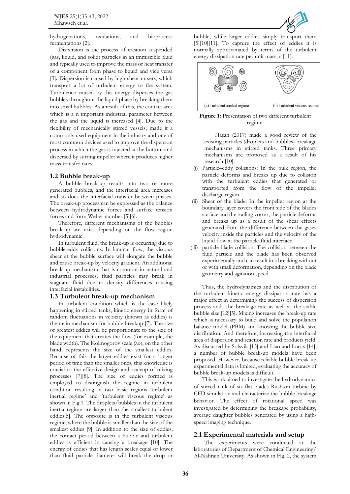

hydrogenations, oxidations, and bioprocess fermentations [2].

Dispersion is the process of creation suspended (gas, liquid, and solid) particles in an immiscible fluid and typically used to improve the mass or heat transfer of a component from phase to liquid and vice versa [3]**.** Dispersion is caused by high shear mixers, which transport a lot of turbulent energy to the system. Turbulence caused by this energy disperses the gas bubbles throughout the liquid phase by breaking them into small bubbles. As a result of this, the contact area which is a n important industrial parameter between the gas and the liquid is increased [4]. Due to the flexibility of mechanically stirred vessels, made it a commonly used equipment in the industry and one of most common devices used to improve the dispersion process in which the gas is injected at the bottom and dispersed by stirring impeller where it produces higher mass transfer rates.

### **1.2 Bubble break-up**

A bubble break-up results into two or more generated bubbles, and the interfacial area increases and so does the interfacial transfer between phases. The break-up process can be expressed as the balance between hydrodynamic forces and surface tension forces and form Weber number [5][6].

Therefore, different mechanisms of the bubbles break-up are exist depending on the flow region hydrodynamic.

In turbulent fluid, the break-up is occurring due to bubble-eddy collisions. In laminar flow, the viscous shear at the bubble surface will elongate the bubble and cause break-up by velocity gradient. An additional break-up mechanism that is common in natural and industrial processes, fluid particles may break in stagnant fluid due to density differences causing interfacial instabilities.

#### **1.3 Turbulent break-up mechanism**

In turbulent condition which is the case likely happening in stirred tanks, kinetic energy in form of random fluctuations in velocity (known as eddies) is the main mechanism for bubble breakup [7]. The size of greatest eddies will be proportionate to the size of the equipment that creates the flow (for example, the blade width). The Kolmogorov scale (λο), on the other hand, represents the size of the smallest eddies. Because of this the larger eddies exist for a longer period of time than the smaller ones, this knowledge is crucial to the effective design and scaleup of mixing processes [7][8]. The size of eddies formed is employed to distinguish the regime in turbulent condition resulting in two basic regions 'turbulent inertial regime' and 'turbulent viscous regime' as shown in Fig.1. The droplets/bubbles in the turbulent inertia regime are larger than the smallest turbulent eddies[5]. The opposite is in the turbulent viscous regime, where the bubble is smaller than the size of the smallest eddies [9]. In addition to the size of eddies, the contact period between a bubble and turbulent eddies is efficient in causing a breakage [10]. The energy of eddies that has length scales equal or lower than fluid particle diameter will break the drop or

bubble, while larger eddies simply transport them [5][10][11]. To capture the effect of eddies it is normally approximated by terms of the turbulent energy dissipation rate per unit mass, ε [11].





Hasan (2017) made a good review of the existing particles (droplets and bubbles) breakage mechanisms in stirred tanks. Three primary mechanisms are proposed as a result of his research [10]:

- (i) Particle–eddy collisions: In the bulk region, the particle deforms and breaks up due to collision with the turbulent eddies that generated or transported from the flow of the impeller discharge region.
- (ii) Shear of the blade: In the impeller region at the boundary layer covers the front side of the blades surface and the trailing vortex, the particle deforms and breaks up as a result of the shear effects generated from the difference between the gases velocity inside the particles and the velocity of the liquid flow at the particle-fluid interface.
- (iii) particle-blade collision: The collision between the fluid particle and the blade has been observed experimentally and can result in a breaking without or with small deformation, depending on the blade geometry and agitation speed

Thus, the hydrodynamics and the distribution of the turbulent kinetic energy dissipation rate has a major effect in determining the success of dispersion process and the breakage rate as well as the stable bubble size [12][5]. Mixing increases the break-up rate which is necessary to build and solve the population balance model (PBM) and knowing the bubble size distribution. And therefore, increasing the interfacial area of dispersion and reaction rate and products yield. As discussed by Solsvik [13] and Liao and Lucas [14], a number of bubble break-up models have been proposed. However, because reliable bubble break-up experimental data is limited, evaluating the accuracy of bubble break-up models is difficult.

This work aimed to investigate the hydrodynamics of stirred tank of six-flat blades Rushton turbine by CFD simulation and characterize the bubble breakage behavior. The effect of rotational speed was investigated by determining the breakage probability, average daughter bubbles generated by using a highspeed imaging technique.

### **2.1 Experimental materials and setup**

The experiments were conducted at the laboratories of Department of Chemical Engineering/ Al-Nahrain University. As shown in Fig. 2, the system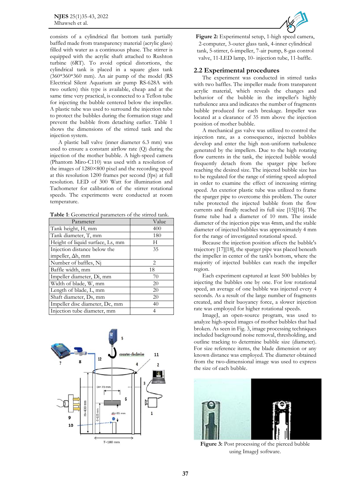consists of a cylindrical flat bottom tank partially baffled made from transparency material (acrylic glass) filled with water as a continuous phase. The stirrer is equipped with the acrylic shaft attached to Rushton turbine (6RT). To avoid optical distortions, the cylindrical tank is placed in a square glass tank (360\*360\*360 mm). An air pump of the model (RS Electrical Silent Aquarium air pump RS-628A with two outlets) this type is available, cheap and at the same time very practical, is connected to a Teflon tube for injecting the bubble centered below the impeller. A plastic tube was used to surround the injection tube to protect the bubbles during the formation stage and prevent the bubble from detaching earlier. Table 1 shows the dimensions of the stirred tank and the injection system.

A plastic ball valve (inner diameter 6.3 mm) was used to ensure a constant airflow rate (Q) during the injection of the mother bubble. A high-speed camera (Phantom Miro-C110) was used with a resolution of the images of 1280×800 pixel and the recording speed at this resolution 1200 frames per second (fps) at full resolution. LED of 300 Watt for illumination and Tachometer for calibration of the stirrer rotational speeds. The experiments were conducted at room temperature.

**Table 1**: Geometrical parameters of the stirred tank.

| Parameter                        | Value                       |
|----------------------------------|-----------------------------|
| Tank height, H, mm               | 400                         |
| Tank diameter, T, mm             | 180                         |
| Height of liquid surface, Ls, mm | H                           |
| Injection distance below the     | 35                          |
| impeller, Δh, mm                 |                             |
| Number of baffles, Ni            | $\mathcal{D}_{\mathcal{L}}$ |
| Baffle width, mm                 | 18                          |
| Impeller diameter, Di, mm        | 70                          |
| Width of blade, W, mm            | 20                          |
| Length of blade, L, mm           | 20                          |
| Shaft diameter, Ds, mm           | 20                          |
| Impeller disc diameter, Dc, mm   | 40                          |
| Injection tube diameter, mm      | 4                           |





**Figure 2:** Experimental setup, 1-high speed camera, 2-computer, 3-outer glass tank, 4-inner cylindrical tank, 5-stirrer, 6-impeller, 7-air pump, 8-gas control valve, 11-LED lamp, 10- injection tube, 11-baffle.

#### **2.2 Experimental procedures**

The experiment was conducted in stirred tanks with two baffles. The impeller made from transparent acrylic material, which reveals the changes and behavior of the bubble in the impeller's highly turbulence area and indicates the number of fragments bubble produced for each breakage. Impeller was located at a clearance of 35 mm above the injection position of mother bubble.

A mechanical gas valve was utilized to control the injection rate, as a consequence, injected bubbles develop and enter the high non-uniform turbulence generated by the impellers. Due to the high rotating flow currents in the tank, the injected bubble would frequently detach from the sparger pipe before reaching the desired size. The injected bubble size has to be regulated for the range of stirring speed adopted in order to examine the effect of increasing stirring speed. An exterior plastic tube was utilized to frame the sparger pipe to overcome this problem. The outer tube protected the injected bubble from the flow currents and finally reached its full size [15][16]. The frame tube had a diameter of 10 mm. The inside diameter of the injection pipe was 4mm, and the stable diameter of injected bubbles was approximately 4 mm for the range of investigated rotational speed.

Because the injection position affects the bubble's trajectory [17][18], the sparger pipe was placed beneath the impeller in center of the tank's bottom, where the majority of injected bubbles can reach the impeller region.

Each experiment captured at least 500 bubbles by injecting the bubbles one by one. For low rotational speed, an average of one bubble was injected every 4 seconds. As a result of the large number of fragments created, and their buoyancy force, a slower injection rate was employed for higher rotational speeds.

ImageJ, an open-source program, was used to analyze high-speed images of mother bubbles that had broken. As seen in Fig. 3, image processing techniques included background noise removal, thresholding, and outline tracking to determine bubble size (diameter). For size reference items, the blade dimension or any known distance was employed. The diameter obtained from the two-dimensional image was used to express the size of each bubble.



**Figure 3:** Post processing of the pierced bubble using ImageJ software.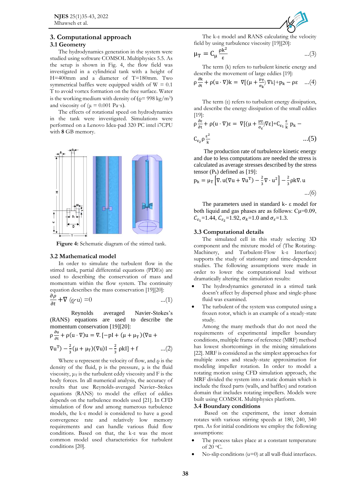## **3. Computational approach**

## **3.1 Geometry**

The hydrodynamics generation in the system were studied using software COMSOL Multiphysics 5.5. As the setup is shown in Fig. 4, the flow field was investigated in a cylindrical tank with a height of H=400mm and a diameter of T=180mm. Two symmetrical baffles were equipped width of  $W = 0.1$ T to avoid vortex formation on the free surface. Water is the working medium with density of  $(Q= 998 \text{ kg/m}^3)$ and viscosity of ( $\mu = 0.001$  Pa·s).

The effects of rotational speed on hydrodynamics in the tank were investigated. Simulations were performed on a Lenovo Idea-pad 320 PC intel i7CPU with **8** GB memory.



**Figure 4:** Schematic diagram of the stirred tank.

### **3.2 Mathematical model**

In order to simulate the turbulent flow in the stirred tank, partial differential equations (PDEs) are used to describing the conservation of mass and momentum within the flow system. The continuity equation describes the mass conservation [19][20]:

$$
\frac{\partial \rho}{\partial t} + \nabla (\varrho \cdot \mathbf{u}) = 0 \qquad \qquad \dots (1)
$$

Reynolds averaged Navier-Stokes's (RANS) equations are used to describe the momentum conservation [19][20]:

$$
\rho \frac{\partial u}{\partial t} + \rho (u \cdot \nabla) u = \nabla . [-\rho I + (\mu + \mu_T)(\nabla u +
$$

$$
\nabla
$$
u<sup>T</sup>) -  $\frac{2}{3}$ ( $\mu$  +  $\mu$ <sub>T</sub>)( $\nabla$ u)I -  $\frac{2}{3}$  pkl] + f ... (2)

Where u represent the velocity of flow, and  $\rho$  is the density of the fluid,  $p$  is the pressure,  $\mu$  is the fluid viscosity,  $\mu$ <sup>T</sup> is the turbulent eddy viscosity and F is the body forces. In all numerical analysis, the accuracy of results that use Reynolds-averaged Navier–Stokes equations (RANS) to model the effect of eddies depends on the turbulence models used [21]. In CFD simulation of flow and among numerous turbulence models, the k-ε model is considered to have a good convergence rate and relatively low memory requirements and can handle various fluid flow conditions. Based on that, the k-ε was the most common model used characteristics for turbulent conditions [20].



The k-ε model and RANS calculating the velocity field by using turbulence viscosity [19][20]:

$$
\mu_T = C_\mu \frac{\rho k^2}{\epsilon} \qquad \qquad \dots (3)
$$

The term (k) refers to turbulent kinetic energy and describe the movement of large eddies [19]:

$$
\rho \frac{\partial k}{\partial t} + \rho (u \cdot \nabla) k = \nabla [(\mu + \frac{\mu_T}{\sigma_k}) \nabla k] + p_k - \rho \varepsilon \quad ...(4)
$$

The term (ε) refers to turbulent energy dissipation, and describe the energy dissipation of the small eddies [19]:

$$
\rho \frac{\partial \varepsilon}{\partial t} + \rho (u \cdot \nabla) \varepsilon = \nabla [(\mu + \frac{\mu_T}{\sigma_{\varepsilon}}) \nabla \varepsilon] + C_{\varepsilon_1} \frac{\varepsilon}{k} p_k - \dots (5)
$$

The production rate of turbulence kinetic energy and due to less computations are needed the stress is calculated as average stresses described by the stress tensor  $(P_k)$  defined as [19]:

$$
p_{k} = \mu_{T} \left[ \nabla \cdot u (\nabla u + \nabla u^{T}) - \frac{2}{3} \nabla \cdot u^{2} \right] - \frac{2}{3} \rho k \nabla \cdot u
$$
  
...(6)

The parameters used in standard k- ε model for both liquid and gas phases are as follows: Cμ=0.09,  $C_{\epsilon_1}$ =1.44,  $C_{\epsilon_2}$ =1.92,  $\sigma_k$ =1.0 and  $\sigma_{\epsilon}$ =1.3.

## **3.3 Computational details**

The simulated cell in this study selecting 3D component and the mixture model of (The Rotating-Machinery, and Turbulent-Flow k-ε Interface) supports the study of stationary and time-dependent studies. The following assumptions were made in order to lower the computational load without dramatically altering the simulation results:

- The hydrodynamics generated in a stirred tank doesn't affect by dispersed phase and single-phase fluid was examined.
- The turbulent of the system was computed using a frozen rotor, which is an example of a steady-state study.

Among the many methods that do not need the requirements of experimental impeller boundary conditions, multiple frame of reference (MRF) method has lowest shortcomings in the mixing simulations [22]. MRF is considered as the simplest approaches for multiple zones and steady-state approximation for modeling impeller rotation. In order to model a rotating motion using CFD simulation approach, the MRF divided the system into a static domain which is include the fixed parts (walls, and baffles) and rotation domain that includes rotating impellers. Models were built using COMSOL Multiphysics platform.

#### **3.4 Boundary conditions**

Based on the experiment, the inner domain rotates with various stirring speeds at 180, 240, 340 rpm. As for initial conditions we employ the following assumptions:

- The process takes place at a constant temperature of 20 <sup>o</sup>C.
- $No-slip$  conditions  $(u=0)$  at all wall-fluid interfaces.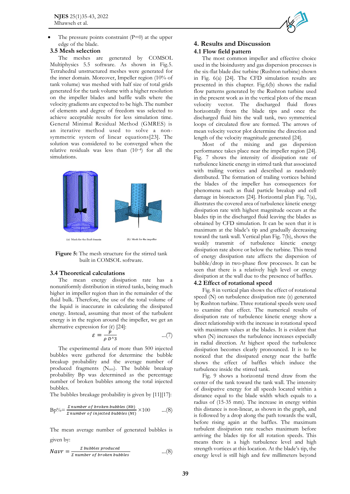The pressure points constraint  $(P=0)$  at the upper edge of the blade.

#### **3.5 Mesh selection**

The meshes are generated by COMSOL Multiphysics 5.5 software. As shown in Fig.5. Tetrahedral unstructured meshes were generated for the inner domain. Moreover, Impeller region (10% of tank volume) was meshed with half size of total grids generated for the tank volume with a higher resolution on the impeller blades and baffle walls where the velocity gradients are expected to be high. The number of elements and degree of freedom was selected to achieve acceptable results for less simulation time. General Minimal Residual Method (GMRES) is an iterative method used to solve a nonsymmetric system of linear equations[23]. The solution was considered to be converged when the relative residuals was less than (10–<sup>4</sup> ) for all the simulations.



**Figure 5:** The mesh structure for the stirred tank built in COMSOL software.

#### **3.4 Theoretical calculations**

The mean energy dissipation rate has a nonuniformly distribution in stirred tanks, being much higher in impeller region than in the remainder of the fluid bulk. Therefore, the use of the total volume of the liquid is inaccurate in calculating the dissipated energy. Instead, assuming that most of the turbulent energy is in the region around the impeller, we get an alternative expression for  $(\varepsilon)$  [24]:

$$
\varepsilon = \frac{p}{\rho D^2} \qquad \qquad ...(7)
$$

The experimental data of more than 500 injected bubbles were gathered for determine the bubble breakup probability and the average number of produced fragments (Navr). The bubble breakup probability Bp was determined as the percentage number of broken bubbles among the total injected bubbles.

The bubbles breakage probability is given by [11][17]:

$$
Bp\% = \frac{\Sigma \ number \ of \ broken \ bubbles \ (Nb)}{\Sigma \ number \ of \ injected \ bubbles \ (Nt)} \times 100 \qquad ...(8)
$$

The mean average number of generated bubbles is given by:

$$
Navr = \frac{\Sigma \text{ bubbles produced}}{\Sigma \text{ number of broken bubbles}} \qquad \qquad \dots (8)
$$

## **4. Results and Discussion 4.1 Flow field pattern**

The most common impeller and effective choice used in the bioindustry and gas dispersion processes is the six-flat blade disc turbine (Rushton turbine) shown in Fig. 6(a) [24]. The CFD simulation results are presented in this chapter. Fig.6(b) shows the radial flow patterns generated by the Rushton turbine used in the present work as in the vertical plots of the mean velocity vector. The discharged fluid flows horizontally from the blade tips and once the discharged fluid hits the wall tank, two symmetrical loops of circulated flow are formed. The arrows of mean velocity vector plot determine the direction and length of the velocity magnitude generated [24].

Most of the mixing and gas dispersion performance takes place near the impeller region [24]. Fig. 7 shows the intensity of dissipation rate of turbulence kinetic energy in stirred tank that associated with trailing vortices and described as randomly distributed. The formation of trailing vortices behind the blades of the impeller has consequences for phenomena such as fluid particle breakup and cell damage in bioreactors [24]. Horizontal plan Fig. 7(a), illustrates the covered area of turbulence kinetic energy dissipation rate with highest magnitude occurs at the blades tip in the discharged fluid leaving the blades as obtained by CFD simulation. It can be seen that it is maximum at the blade's tip and gradually decreasing toward the tank wall. Vertical plan Fig. 7(b), shows the weakly transmit of turbulence kinetic energy dissipation rate above or below the turbine. This trend of energy dissipation rate affects the dispersion of bubble/drop in two-phase flow processes. It can be seen that there is a relatively high level or energy dissipation at the wall due to the presence of baffles.

#### **4.2 Effect of rotational speed**

Fig. 8 in vertical plan shows the effect of rotational speed (N) on turbulence dissipation rate (ε) generated by Rushton turbine. Three rotational speeds were used to examine that effect. The numerical results of dissipation rate of turbulence kinetic energy show a direct relationship with the increase in rotational speed with maximum values at the blades. It is evident that when  $(N)$  increases the turbulence increases especially in radial direction. At highest speed the turbulence dissipation becomes clearly pronounced. It is to be noticed that the dissipated energy near the baffle shows the effect of baffles which induce the turbulence inside the stirred tank.

Fig. 9 shows a horizontal trend draw from the center of the tank toward the tank wall. The intensity of dissipative energy for all speeds located within a distance equal to the blade width which equals to a radius of (15-35 mm). The increase in energy within this distance is non-linear, as shown in the graph, and is followed by a drop along the path towards the wall, before rising again at the baffles. The maximum turbulent dissipation rate reaches maximum before arriving the blades tip for all rotation speeds. This means there is a high turbulence level and high strength vortices at this location. At the blade's tip, the energy level is still high and few millimeters beyond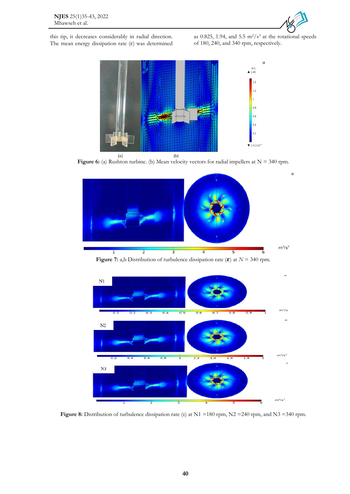

this tip, it decreases considerably in radial direction. The mean energy dissipation rate  $(\varepsilon)$  was determined as 0.825, 1.94, and 5.5  $\text{m}^2/\text{s}^3$  at the rotational speeds of 180, 240, and 340 rpm, respectively.



Figure 6: (a) Rushton turbine. (b) Mean velocity vectors for radial impellers at N = 340 rpm.



**Figure 7:** a,b Distribution of turbulence dissipation rate ( $\boldsymbol{\varepsilon}$ ) at *N* = 340 rpm.



**Figure 8:** Distribution of turbulence dissipation rate (ε) at N1 =180 rpm, N2 =240 rpm, and N3 =340 rpm.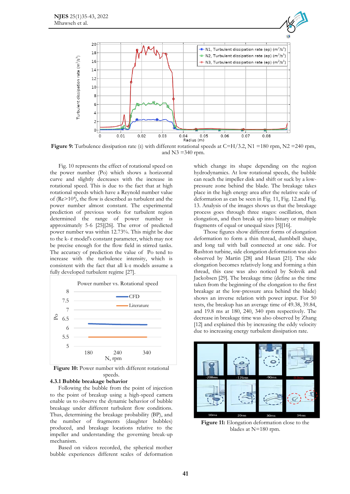![](_page_6_Figure_1.jpeg)

**Figure 9:** Turbulence dissipation rate (ε) with different rotational speeds at C=H/3.2, N1 =180 rpm, N2 =240 rpm, and  $N3 = 340$  rpm.

Fig. 10 represents the effect of rotational speed on the power number (Po) which shows a horizontal curve and slightly decreases with the increase in rotational speed. This is due to the fact that at high rotational speeds which have a Reynold number value of (Re>10<sup>4</sup> ), the flow is described as turbulent and the power number almost constant. The experimental prediction of previous works for turbulent region determined the range of power number is approximately 5-6 [25][26]. The error of predicted power number was within 12.73%. This might be due to the k- ɛ model's constant parameter, which may not be precise enough for the flow field in stirred tanks. The accuracy of prediction the value of Po tend to increase with the turbulence intensity, which is consistent with the fact that all k-ε models assume a fully developed turbulent regime [27].

![](_page_6_Figure_4.jpeg)

**Figure 10:** Power number with different rotational speeds.

#### **4.3.1 Bubble breakage behavior**

Following the bubble from the point of injection to the point of breakup using a high-speed camera enable us to observe the dynamic behavior of bubble breakage under different turbulent flow conditions. Thus, determining the breakage probability (BP), and the number of fragments (daughter bubbles) produced, and breakage locations relative to the impeller and understanding the governing break-up mechanism.

Based on videos recorded, the spherical mother bubble experiences different scales of deformation

which change its shape depending on the region hydrodynamics. At low rotational speeds, the bubble can reach the impeller disk and shift or suck by a lowpressure zone behind the blade. The breakage takes place in the high energy area after the relative scale of deformation as can be seen in Fig. 11, Fig. 12.and Fig. 13. Analysis of the images shows us that the breakage process goes through three stages: oscillation, then elongation, and then break up into binary or multiple fragments of equal or unequal sizes [5][16].

Those figures show different forms of elongation deformation to form a thin thread, dumbbell shape, and long tail with ball connected at one side. For Rushton turbine, side elongation deformation was also observed by Martin [28] and Hasan [21]. The side elongation becomes relatively long and forming a thin thread, this case was also noticed by Solsvik and Jackobsen [29]. The breakage time (define as the time taken from the beginning of the elongation to the first breakage at the low-pressure area behind the blade) shows an inverse relation with power input. For 50 tests, the breakup has an average time of 49.38, 39.84, and 19.8 ms at 180, 240, 340 rpm respectively. The decrease in breakage time was also observed by Zhang [12] and explained this by increasing the eddy velocity due to increasing energy turbulent dissipation rate.

![](_page_6_Figure_11.jpeg)

**Figure 11:** Elongation deformation close to the blades at N=180 rpm.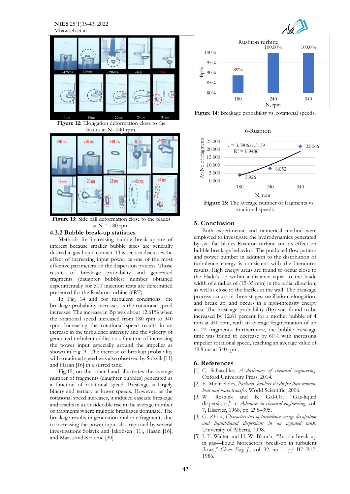**NJES** 25(1)35-43, 2022 Mhawseh et al.

![](_page_7_Picture_1.jpeg)

**Figure 12:** Elongation deformation close to the blades at N=240 rpm.

![](_page_7_Figure_3.jpeg)

**Figure 13:** Side ball deformation close to the blades at  $N = 180$  rpm.

## **4.3.2 Bubble break-up statistics**

Methods for increasing bubble break-up are of interest because smaller bubble sizes are generally desired in gas-liquid contact. This section discusses the effect of increasing input power as one of the most effective parameters on the dispersion process. Those results of breakage probability and generated fragments (daughter bubbles) number obtained experimentally for 500 injection tests are determined presented for the Rushton turbine (6RT).

In Fig. 14 and for turbulent conditions, the breakage probability increases as the rotational speed increases. The increase in Bp was about 12.61% when the rotational speed increased from 180 rpm to 340 rpm. Increasing the rotational speed results in an increase in the turbulence intensity and the velocity of generated turbulent eddies as a function of increasing the power input especially around the impeller as shown in Fig. 9. The increase of breakup probability with rotational speed was also observed by Solsvik [11] and Hasan [16] in a stirred tank.

Fig.15, on the other hand, illustrates the average number of fragments (daughter bubbles) generated as a function of rotational speed. Breakage is largely binary and tertiary at lower speeds. However, as the rotational speed increases, it induced cascade breakage and results in a considerable rise in the average number of fragments where multiple breakages dominate. The breakage results in generation multiple fragments due to increasing the power input also reported by several investigations Solsvik and Jakobsen [11], Hasan [16], and Maass and Kraume [30].

![](_page_7_Picture_9.jpeg)

![](_page_7_Figure_10.jpeg)

Figure 14: Breakage probability vs. rotational speeds.

![](_page_7_Figure_12.jpeg)

**Figure 15:** The average number of fragments vs. rotational speeds.

#### **5. Conclusion**

Both experimental and numerical method were employed to investigate the hydrodynamics generated by six- flat blades Rushton turbine and its effect on bubble breakage behavior. The predicted flow pattern and power number in addition to the distribution of turbulence energy is consistent with the literatures results. High energy areas are found to occur close to the blade's tip within a distance equal to the blade width of a radius of (15-35 mm) in the radial direction, as well as close to the baffles at the wall. The breakage process occurs in three stages: oscillation, elongation, and break up, and occurs in a high-intensity energy area. The breakage probability (Bp) was found to be increased by 12.61 percent for a mother bubble of 4 mm at 340 rpm, with an average fragmentation of up to 22 fragments. Furthermore, the bubble breakage time was found to decrease by 60% with increasing impeller rotational speed, reaching an average value of 19.8 ms at 340 rpm.

#### **6. References**

- [1] C. Schaschke, *A dictionary of chemical engineering*. Oxford University Press, 2014.
- [2] E. Michaelides, *Particles, bubbles*  $\mathcal{Q}$  drops: their motion, *heat and mass transfer*. World Scientific, 2006.
- [3] W. Resnick and B. Gal-Or, "Gas-liquid dispersions," in *Advances in chemical engineering*, vol. 7, Elsevier, 1968, pp. 295–395.
- [4] G. Zhou, *Characteristics of turbulence energy dissipation and liquid-liquid dispersions in an agitated tank.* University of Alberta, 1998.
- [5] J. F. Walter and H. W. Blanch, "Bubble break-up in gas—liquid bioreactors: break-up in turbulent flows," *Chem. Eng. J.*, vol. 32, no. 1, pp. B7–B17, 1986.